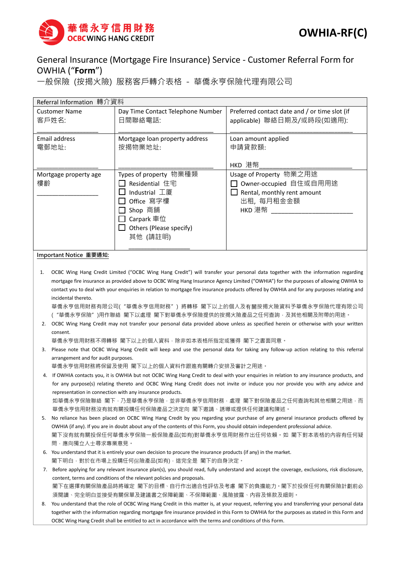

## General Insurance (Mortgage Fire Insurance) Service - Customer Referral Form for OWHIA ("**Form**")

一般保險 (按揭火險) 服務客戶轉介表格 - 華僑永亨保險代理有限公司

| Referral Information 轉介資料     |                                                                                                                                         |                                                                                                          |  |  |  |  |
|-------------------------------|-----------------------------------------------------------------------------------------------------------------------------------------|----------------------------------------------------------------------------------------------------------|--|--|--|--|
| <b>Customer Name</b><br>客戶姓名: | Day Time Contact Telephone Number<br>日間聯絡電話:                                                                                            | Preferred contact date and / or time slot (if<br>applicable) 聯絡日期及/或時段(如適用):                             |  |  |  |  |
| Email address<br>電郵地址:        | Mortgage loan property address<br>按揭物業地址:                                                                                               | Loan amount applied<br>申請貸款額:<br>HKD 港幣                                                                  |  |  |  |  |
| Mortgage property age<br>樓齡   | Types of property 物業種類<br>Residential 住宅<br>Industrial 工厦<br>Office 寫字樓<br>Shop 商舖<br>Carpark 車位<br>Others (Please specify)<br>其他 (請註明) | Usage of Property 物業之用途<br>Owner-occupied 自住或自用用途<br>Rental, monthly rent amount<br>出租, 每月租金金額<br>HKD 港幣 |  |  |  |  |

## **Important Notice 重要通知:**

1. OCBC Wing Hang Credit Limited ("OCBC Wing Hang Credit") will transfer your personal data together with the information regarding mortgage fire insurance as provided above to OCBC Wing Hang Insurance Agency Limited ("OWHIA") for the purposes of allowing OWHIA to contact you to deal with your enquiries in relation to mortgage fire insurance products offered by OWHIA and for any purposes relating and incidental thereto.

華僑永亨信用財務有限公司("華僑永亨信用財務") 將轉移 閣下以上的個人及有關按揭火險資料予華僑永亨保險代理有限公司 ("華僑永亨保險")用作聯絡 閣下以處理 閣下對華僑永亨保險提供的按揭火險產品之任何查詢,及其他相關及附帶的用途。

2. OCBC Wing Hang Credit may not transfer your personal data provided above unless as specified herein or otherwise with your written consent.

華僑永亨信用財務不得轉移 閣下以上的個人資料,除非如本表格所指定或獲得 閣下之書面同意。

3. Please note that OCBC Wing Hang Credit will keep and use the personal data for taking any follow-up action relating to this referral arrangement and for audit purposes.

華僑永亨信用財務將保留及使用 閣下以上的個人資料作跟進有關轉介安排及審計之用途。

4. If OWHIA contacts you, it is OWHIA but not OCBC Wing Hang Credit to deal with your enquiries in relation to any insurance products, and for any purpose(s) relating thereto and OCBC Wing Hang Credit does not invite or induce you nor provide you with any advice and representation in connection with any insurance products. 如華僑永亨保險聯絡 閣下,乃是華僑永亨保險,並非華僑永亨信用財務,處理 閣下對保險產品之任何查詢和其他相關之用途,而

華僑永亨信用財務沒有就有關投購任何保險產品之決定向 閣下邀請、誘導或提供任何建議和陳述。

- 5. No reliance has been placed on OCBC Wing Hang Credit by you regarding your purchase of any general insurance products offered by OWHIA (if any). If you are in doubt about any of the contents of this Form, you should obtain independent professional advice. 閣下沒有就有關投保任何華僑永亨保險一般保險產品(如有)對華僑永亨信用財務作出任何依賴。如 閣下對本表格的內容有任何疑 問,應向獨立人士尋求專業意見。
- 6. You understand that it is entirely your own decision to procure the insurance products (if any) in the market. 閣下明白,對於在市場上投購任何保險產品(如有),這完全是 閣下的自身決定。
- 7. Before applying for any relevant insurance plan(s), you should read, fully understand and accept the coverage, exclusions, risk disclosure, content, terms and conditions of the relevant policies and proposals. 閣下在選擇有關保險產品時將確定 閣下的目標、自行作出適合性評估及考慮 閣下的負擔能力。閣下於投保任何有關保險計劃前必 須閱讀、完全明白並接受有關保單及建議書之保障範圍、不保障範圍、風險披露、內容及條款及細則。
- You understand that the role of OCBC Wing Hang Credit in this matter is, at your request, referring you and transferring your personal data together with the information regarding mortgage fire insurance provided in this Form to OWHIA for the purposes as stated in this Form and OCBC Wing Hang Credit shall be entitled to act in accordance with the terms and conditions of this Form.